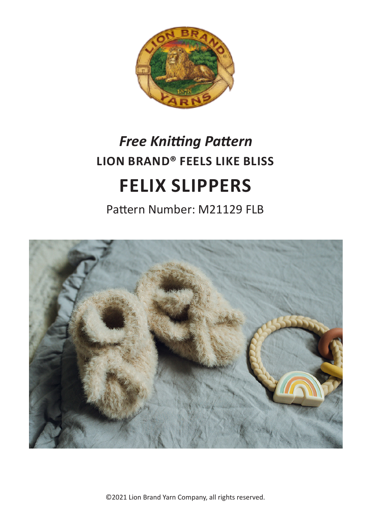

# **LION BRAND® FEELS LIKE BLISS FELIX SLIPPERS** *Free Knitting Pattern*

Pattern Number: M21129 FLB



©2021 Lion Brand Yarn Company, all rights reserved.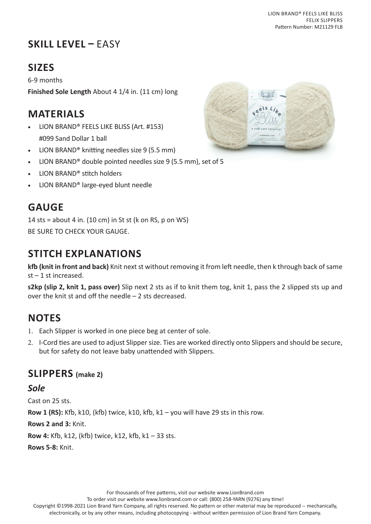## **SKILL LEVEL –** EASY

## **SIZES**

6-9 months **Finished Sole Length** About 4 1/4 in. (11 cm) long

## **MATERIALS**

- LION BRAND® FEELS LIKE BLISS (Art. #153) #099 Sand Dollar 1 ball
- LION BRAND® knitting needles size 9 (5.5 mm)
- LION BRAND<sup>®</sup> double pointed needles size 9 (5.5 mm), set of 5
- LION BRAND® stitch holders
- LION BRAND® large-eyed blunt needle

## **GAUGE**

14 sts = about 4 in. (10 cm) in St st (k on RS, p on WS) BE SURE TO CHECK YOUR GAUGE.

## **STITCH EXPLANATIONS**

**kfb (knit in front and back)** Knit next st without removing it from left needle, then k through back of same  $st - 1$  st increased.

**s2kp (slip 2, knit 1, pass over)** Slip next 2 sts as if to knit them tog, knit 1, pass the 2 slipped sts up and over the knit st and off the needle – 2 sts decreased.

## **NOTES**

- 1. Each Slipper is worked in one piece beg at center of sole.
- 2. I-Cord ties are used to adjust Slipper size. Ties are worked directly onto Slippers and should be secure, but for safety do not leave baby unattended with Slippers.

## **SLIPPERS (make 2)**

*Sole*

Cast on 25 sts.

**Row 1 (RS):** Kfb, k10, (kfb) twice, k10, kfb, k1 – you will have 29 sts in this row.

**Rows 2 and 3:** Knit.

**Row 4:** Kfb, k12, (kfb) twice, k12, kfb, k1 – 33 sts.

**Rows 5-8:** Knit.



For thousands of free patterns, visit our website www.LionBrand.com To order visit our website www.lionbrand.com or call: (800) 258-YARN (9276) any time!

Copyright ©1998-2021 Lion Brand Yarn Company, all rights reserved. No pattern or other material may be reproduced -- mechanically, electronically, or by any other means, including photocopying - without written permission of Lion Brand Yarn Company.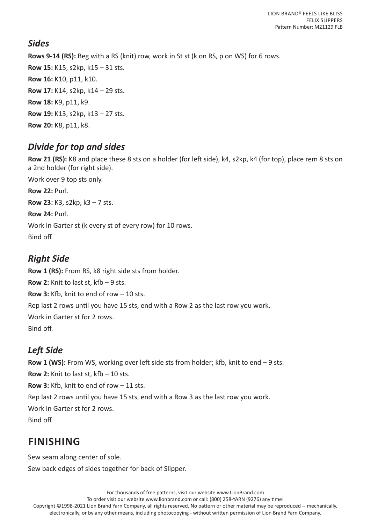#### *Sides*

**Rows 9-14 (RS):** Beg with a RS (knit) row, work in St st (k on RS, p on WS) for 6 rows. **Row 15:** K15, s2kp, k15 – 31 sts. **Row 16:** K10, p11, k10. **Row 17:** K14, s2kp, k14 – 29 sts. **Row 18:** K9, p11, k9. **Row 19:** K13, s2kp, k13 – 27 sts. **Row 20:** K8, p11, k8.

#### *Divide for top and sides*

**Row 21 (RS):** K8 and place these 8 sts on a holder (for left side), k4, s2kp, k4 (for top), place rem 8 sts on a 2nd holder (for right side). Work over 9 top sts only. **Row 22:** Purl. **Row 23:** K3, s2kp, k3 – 7 sts. **Row 24:** Purl. Work in Garter st (k every st of every row) for 10 rows. Bind off.

#### *Right Side*

**Row 1 (RS):** From RS, k8 right side sts from holder. **Row 2:** Knit to last st, kfb – 9 sts. **Row 3:** Kfb, knit to end of row – 10 sts. Rep last 2 rows until you have 15 sts, end with a Row 2 as the last row you work. Work in Garter st for 2 rows. Bind off.

## *Left Side*

**Row 1 (WS):** From WS, working over left side sts from holder; kfb, knit to end – 9 sts. **Row 2:** Knit to last st, kfb – 10 sts. **Row 3:** Kfb, knit to end of row – 11 sts. Rep last 2 rows until you have 15 sts, end with a Row 3 as the last row you work. Work in Garter st for 2 rows. Bind off.

## **FINISHING**

Sew seam along center of sole.

Sew back edges of sides together for back of Slipper.